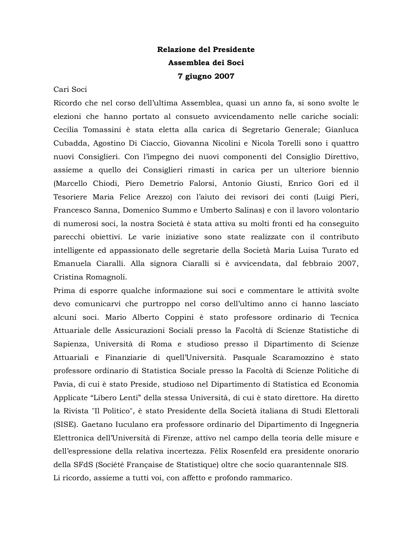# Relazione del Presidente Assemblea dei Soci 7 giugno 2007

Cari Soci

Ricordo che nel corso dell'ultima Assemblea, quasi un anno fa, si sono svolte le elezioni che hanno portato al consueto avvicendamento nelle cariche sociali: Cecilia Tomassini è stata eletta alla carica di Segretario Generale; Gianluca Cubadda, Agostino Di Ciaccio, Giovanna Nicolini e Nicola Torelli sono i quattro nuovi Consiglieri. Con l'impegno dei nuovi componenti del Consiglio Direttivo, assieme a quello dei Consiglieri rimasti in carica per un ulteriore biennio (Marcello Chiodi, Piero Demetrio Falorsi, Antonio Giusti, Enrico Gori ed il Tesoriere Maria Felice Arezzo) con l'aiuto dei revisori dei conti (Luigi Pieri, Francesco Sanna, Domenico Summo e Umberto Salinas) e con il lavoro volontario di numerosi soci, la nostra Società è stata attiva su molti fronti ed ha conseguito parecchi obiettivi. Le varie iniziative sono state realizzate con il contributo intelligente ed appassionato delle segretarie della Società Maria Luisa Turato ed Emanuela Ciaralli. Alla signora Ciaralli si è avvicendata, dal febbraio 2007, Cristina Romagnoli.

Prima di esporre qualche informazione sui soci e commentare le attività svolte devo comunicarvi che purtroppo nel corso dell'ultimo anno ci hanno lasciato alcuni soci. Mario Alberto Coppini è stato professore ordinario di Tecnica Attuariale delle Assicurazioni Sociali presso la Facoltà di Scienze Statistiche di Sapienza, Università di Roma e studioso presso il Dipartimento di Scienze Attuariali e Finanziarie di quell'Università. Pasquale Scaramozzino è stato professore ordinario di Statistica Sociale presso la Facoltà di Scienze Politiche di Pavia, di cui è stato Preside, studioso nel Dipartimento di Statistica ed Economia Applicate "Libero Lenti" della stessa Università, di cui è stato direttore. Ha diretto la Rivista "Il Politico", è stato Presidente della Società italiana di Studi Elettorali (SISE). Gaetano Iuculano era professore ordinario del Dipartimento di Ingegneria Elettronica dell'Università di Firenze, attivo nel campo della teoria delle misure e dell'espressione della relativa incertezza. Fèlix Rosenfeld era presidente onorario della SFdS (Société Française de Statistique) oltre che socio quarantennale SIS. Li ricordo, assieme a tutti voi, con affetto e profondo rammarico.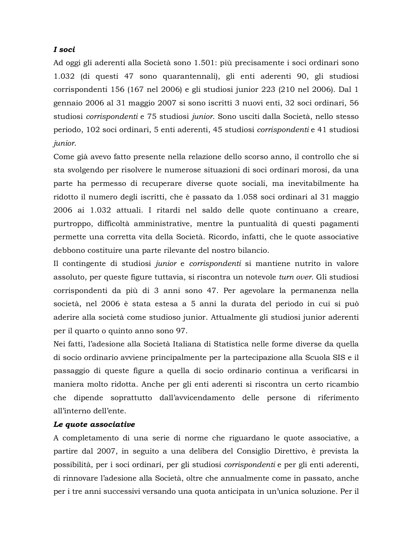## I soci

Ad oggi gli aderenti alla Società sono 1.501: più precisamente i soci ordinari sono 1.032 (di questi 47 sono quarantennali), gli enti aderenti 90, gli studiosi corrispondenti 156 (167 nel 2006) e gli studiosi junior 223 (210 nel 2006). Dal 1 gennaio 2006 al 31 maggio 2007 si sono iscritti 3 nuovi enti, 32 soci ordinari, 56 studiosi corrispondenti e 75 studiosi junior. Sono usciti dalla Società, nello stesso periodo, 102 soci ordinari, 5 enti aderenti, 45 studiosi corrispondenti e 41 studiosi junior.

Come già avevo fatto presente nella relazione dello scorso anno, il controllo che si sta svolgendo per risolvere le numerose situazioni di soci ordinari morosi, da una parte ha permesso di recuperare diverse quote sociali, ma inevitabilmente ha ridotto il numero degli iscritti, che è passato da 1.058 soci ordinari al 31 maggio 2006 ai 1.032 attuali. I ritardi nel saldo delle quote continuano a creare, purtroppo, difficoltà amministrative, mentre la puntualità di questi pagamenti permette una corretta vita della Società. Ricordo, infatti, che le quote associative debbono costituire una parte rilevante del nostro bilancio.

Il contingente di studiosi junior e corrispondenti si mantiene nutrito in valore assoluto, per queste figure tuttavia, si riscontra un notevole turn over. Gli studiosi corrispondenti da più di 3 anni sono 47. Per agevolare la permanenza nella società, nel 2006 è stata estesa a 5 anni la durata del periodo in cui si può aderire alla società come studioso junior. Attualmente gli studiosi junior aderenti per il quarto o quinto anno sono 97.

Nei fatti, l'adesione alla Società Italiana di Statistica nelle forme diverse da quella di socio ordinario avviene principalmente per la partecipazione alla Scuola SIS e il passaggio di queste figure a quella di socio ordinario continua a verificarsi in maniera molto ridotta. Anche per gli enti aderenti si riscontra un certo ricambio che dipende soprattutto dall'avvicendamento delle persone di riferimento all'interno dell'ente.

#### Le quote associative

A completamento di una serie di norme che riguardano le quote associative, a partire dal 2007, in seguito a una delibera del Consiglio Direttivo, è prevista la possibilità, per i soci ordinari, per gli studiosi *corrispondenti* e per gli enti aderenti, di rinnovare l'adesione alla Società, oltre che annualmente come in passato, anche per i tre anni successivi versando una quota anticipata in un'unica soluzione. Per il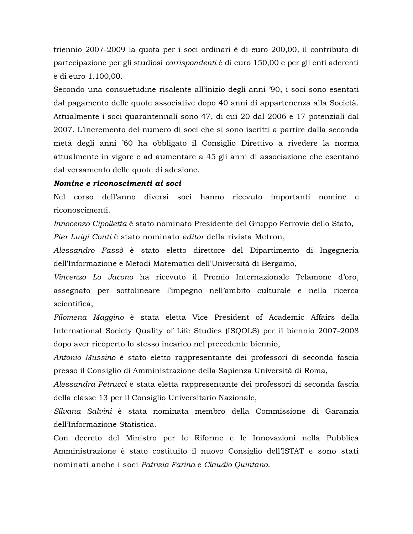triennio 2007-2009 la quota per i soci ordinari è di euro 200,00, il contributo di partecipazione per gli studiosi corrispondenti è di euro 150,00 e per gli enti aderenti è di euro 1.100,00.

Secondo una consuetudine risalente all'inizio degli anni '90, i soci sono esentati dal pagamento delle quote associative dopo 40 anni di appartenenza alla Società. Attualmente i soci quarantennali sono 47, di cui 20 dal 2006 e 17 potenziali dal 2007. L'incremento del numero di soci che si sono iscritti a partire dalla seconda metà degli anni '60 ha obbligato il Consiglio Direttivo a rivedere la norma attualmente in vigore e ad aumentare a 45 gli anni di associazione che esentano dal versamento delle quote di adesione.

### Nomine e riconoscimenti ai soci

Nel corso dell'anno diversi soci hanno ricevuto importanti nomine e riconoscimenti.

Innocenzo Cipolletta è stato nominato Presidente del Gruppo Ferrovie dello Stato, Pier Luigi Conti è stato nominato editor della rivista Metron,

Alessandro Fassò è stato eletto direttore del Dipartimento di Ingegneria dell'Informazione e Metodi Matematici dell'Università di Bergamo,

Vincenzo Lo Jacono ha ricevuto il Premio Internazionale Telamone d'oro, assegnato per sottolineare l'impegno nell'ambito culturale e nella ricerca scientifica,

Filomena Maggino è stata eletta Vice President of Academic Affairs della International Society Quality of Life Studies (ISQOLS) per il biennio 2007-2008 dopo aver ricoperto lo stesso incarico nel precedente biennio,

Antonio Mussino è stato eletto rappresentante dei professori di seconda fascia presso il Consiglio di Amministrazione della Sapienza Università di Roma,

Alessandra Petrucci è stata eletta rappresentante dei professori di seconda fascia della classe 13 per il Consiglio Universitario Nazionale,

Silvana Salvini è stata nominata membro della Commissione di Garanzia dell'Informazione Statistica.

Con decreto del Ministro per le Riforme e le Innovazioni nella Pubblica Amministrazione è stato costituito il nuovo Consiglio dell'ISTAT e sono stati nominati anche i soci Patrizia Farina e Claudio Quintano.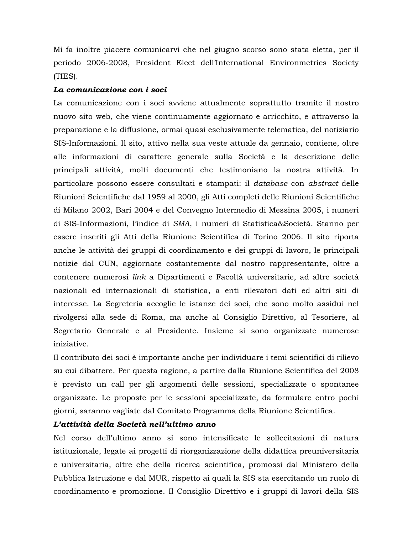Mi fa inoltre piacere comunicarvi che nel giugno scorso sono stata eletta, per il periodo 2006-2008, President Elect dell'International Environmetrics Society  $(TIES)$ .

#### La comunicazione con i soci

La comunicazione con i soci avviene attualmente soprattutto tramite il nostro nuovo sito web, che viene continuamente aggiornato e arricchito, e attraverso la preparazione e la diffusione, ormai quasi esclusivamente telematica, del notiziario SIS-Informazioni. Il sito, attivo nella sua veste attuale da gennaio, contiene, oltre alle informazioni di carattere generale sulla Società e la descrizione delle principali attività, molti documenti che testimoniano la nostra attività. In particolare possono essere consultati e stampati: il *database* con *abstract* delle Riunioni Scientifiche dal 1959 al 2000, gli Atti completi delle Riunioni Scientifiche di Milano 2002, Bari 2004 e del Convegno Intermedio di Messina 2005, i numeri di SIS-Informazioni, l'indice di SMA, i numeri di Statistica&Società. Stanno per essere inseriti gli Atti della Riunione Scientifica di Torino 2006. Il sito riporta anche le attività dei gruppi di coordinamento e dei gruppi di lavoro, le principali notizie dal CUN, aggiornate costantemente dal nostro rappresentante, oltre a contenere numerosi *link* a Dipartimenti e Facoltà universitarie, ad altre società nazionali ed internazionali di statistica, a enti rilevatori dati ed altri siti di interesse. La Segreteria accoglie le istanze dei soci, che sono molto assidui nel rivolgersi alla sede di Roma, ma anche al Consiglio Direttivo, al Tesoriere, al Segretario Generale e al Presidente. Insieme si sono organizzate numerose iniziative.

Il contributo dei soci è importante anche per individuare i temi scientifici di rilievo su cui dibattere. Per questa ragione, a partire dalla Riunione Scientifica del 2008 è previsto un call per gli argomenti delle sessioni, specializzate o spontanee organizzate. Le proposte per le sessioni specializzate, da formulare entro pochi giorni, saranno vagliate dal Comitato Programma della Riunione Scientifica.

# L'attività della Società nell'ultimo anno

Nel corso dell'ultimo anno si sono intensificate le sollecitazioni di natura istituzionale, legate ai progetti di riorganizzazione della didattica preuniversitaria e universitaria, oltre che della ricerca scientifica, promossi dal Ministero della Pubblica Istruzione e dal MUR, rispetto ai quali la SIS sta esercitando un ruolo di coordinamento e promozione. Il Consiglio Direttivo e i gruppi di lavori della SIS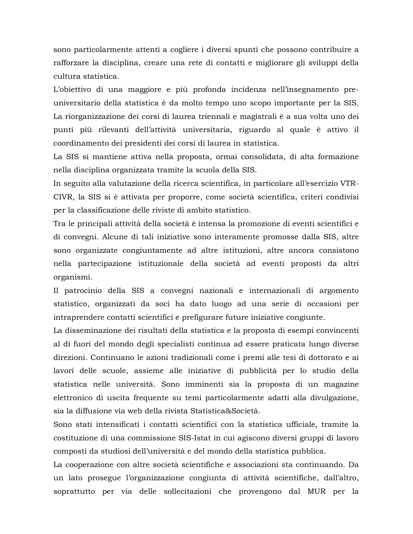sono particolarmente attenti a cogliere i diversi spunti che possono contribuire a rafforzare la disciplina, creare una rete di contatti e migliorare gli sviluppi della cultura statistica.

L'obiettivo di una maggiore e più profonda incidenza nell'insegnamento preuniversitario della statistica è da molto tempo uno scopo importante per la SIS. La riorganizzazione dei corsi di laurea triennali e magistrali è a sua volta uno dei punti più rilevanti dell'attività universitaria, riguardo al quale è attivo il coordinamento dei presidenti dei corsi di laurea in statistica.

La SIS si mantiene attiva nella proposta, ormai consolidata, di alta formazione nella disciplina organizzata tramite la scuola della SIS.

In seguito alla valutazione della ricerca scientifica, in particolare all'esercizio VTR-CIVR, la SIS si è attivata per proporre, come società scientifica, criteri condivisi per la classificazione delle riviste di ambito statistico.

Tra le principali attività della società è intensa la promozione di eventi scientifici e di convegni. Alcune di tali iniziative sono interamente promosse dalla SIS, altre sono organizzate congiuntamente ad altre istituzioni, altre ancora consistono nella partecipazione istituzionale della società ad eventi proposti da altri organismi.

Il patrocinio della SIS a convegni nazionali e internazionali di argomento statistico, organizzati da soci ha dato luogo ad una serie di occasioni per intraprendere contatti scientifici e prefigurare future iniziative congiunte.

La disseminazione dei risultati della statistica e la proposta di esempi convincenti al di fuori del mondo degli specialisti continua ad essere praticata lungo diverse direzioni. Continuano le azioni tradizionali come i premi alle tesi di dottorato e ai lavori delle scuole, assieme alle iniziative di pubblicità per lo studio della statistica nelle università. Sono imminenti sia la proposta di un magazine elettronico di uscita frequente su temi particolarmente adatti alla divulgazione, sia la diffusione via web della rivista Statistica&Società.

Sono stati intensificati i contatti scientifici con la statistica ufficiale, tramite la costituzione di una commissione SIS-Istat in cui agiscono diversi gruppi di lavoro composti da studiosi dell'università e del mondo della statistica pubblica.

La cooperazione con altre società scientifiche e associazioni sta continuando. Da un lato prosegue l'organizzazione congiunta di attività scientifiche, dall'altro, soprattutto per via delle sollecitazioni che provengono dal MUR per la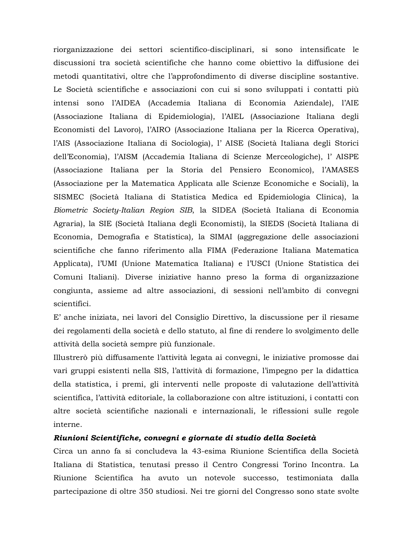riorganizzazione dei settori scientifico-disciplinari, si sono intensificate le discussioni tra società scientifiche che hanno come obiettivo la diffusione dei metodi quantitativi, oltre che l'approfondimento di diverse discipline sostantive. Le Società scientifiche e associazioni con cui si sono sviluppati i contatti più intensi sono l'AIDEA (Accademia Italiana di Economia Aziendale), l'AIE (Associazione Italiana di Epidemiologia), l'AIEL (Associazione Italiana degli Economisti del Lavoro), l'AIRO (Associazione Italiana per la Ricerca Operativa), l'AIS (Associazione Italiana di Sociologia), l'AISE (Società Italiana degli Storici dell'Economia), l'AISM (Accademia Italiana di Scienze Merceologiche), l'AISPE (Associazione Italiana per la Storia del Pensiero Economico), l'AMASES (Associazione per la Matematica Applicata alle Scienze Economiche e Sociali), la SISMEC (Società Italiana di Statistica Medica ed Epidemiologia Clinica), la Biometric Society-Italian Region SIB, la SIDEA (Società Italiana di Economia Agraria), la SIE (Società Italiana degli Economisti), la SIEDS (Società Italiana di Economia, Demografia e Statistica), la SIMAI (aggregazione delle associazioni scientifiche che fanno riferimento alla FIMA (Federazione Italiana Matematica Applicata), l'UMI (Unione Matematica Italiana) e l'USCI (Unione Statistica dei Comuni Italiani). Diverse iniziative hanno preso la forma di organizzazione congiunta, assieme ad altre associazioni, di sessioni nell'ambito di convegni scientifici.

E' anche iniziata, nei lavori del Consiglio Direttivo, la discussione per il riesame dei regolamenti della società e dello statuto, al fine di rendere lo svolgimento delle attività della società sempre più funzionale.

Illustrerò più diffusamente l'attività legata ai convegni, le iniziative promosse dai vari gruppi esistenti nella SIS, l'attività di formazione, l'impegno per la didattica della statistica, i premi, gli interventi nelle proposte di valutazione dell'attività scientifica, l'attività editoriale, la collaborazione con altre istituzioni, i contatti con altre società scientifiche nazionali e internazionali, le riflessioni sulle regole interne.

#### Riunioni Scientifiche, convegni e giornate di studio della Società

Circa un anno fa si concludeva la 43-esima Riunione Scientifica della Società Italiana di Statistica, tenutasi presso il Centro Congressi Torino Incontra. La Riunione Scientifica ha avuto un notevole successo, testimoniata dalla partecipazione di oltre 350 studiosi. Nei tre giorni del Congresso sono state svolte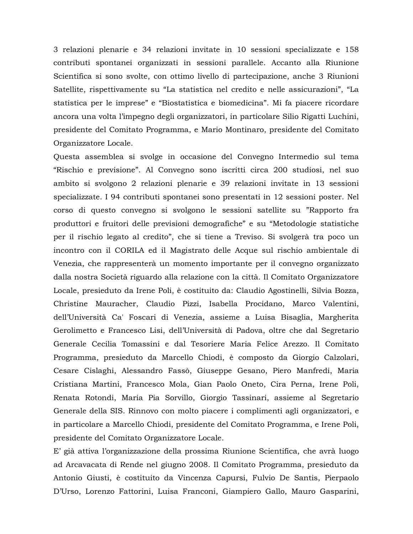3 relazioni plenarie e 34 relazioni invitate in 10 sessioni specializzate e 158 contributi spontanei organizzati in sessioni parallele. Accanto alla Riunione Scientifica si sono svolte, con ottimo livello di partecipazione, anche 3 Riunioni Satellite, rispettivamente su "La statistica nel credito e nelle assicurazioni", "La statistica per le imprese" e "Biostatistica e biomedicina". Mi fa piacere ricordare ancora una volta l'impegno degli organizzatori, in particolare Silio Rigatti Luchini, presidente del Comitato Programma, e Mario Montinaro, presidente del Comitato Organizzatore Locale.

Questa assemblea si svolge in occasione del Convegno Intermedio sul tema "Rischio e previsione". Al Convegno sono iscritti circa 200 studiosi, nel suo ambito si svolgono 2 relazioni plenarie e 39 relazioni invitate in 13 sessioni specializzate. I 94 contributi spontanei sono presentati in 12 sessioni poster. Nel corso di questo convegno si svolgono le sessioni satellite su "Rapporto fra produttori e fruitori delle previsioni demografiche" e su "Metodologie statistiche per il rischio legato al credito", che si tiene a Treviso. Si svolgerà tra poco un incontro con il CORILA ed il Magistrato delle Acque sul rischio ambientale di Venezia, che rappresenterà un momento importante per il convegno organizzato dalla nostra Società riguardo alla relazione con la città. Il Comitato Organizzatore Locale, presieduto da Irene Poli, è costituito da: Claudio Agostinelli, Silvia Bozza, Christine Mauracher, Claudio Pizzi, Isabella Procidano, Marco Valentini, dell'Università Ca' Foscari di Venezia, assieme a Luisa Bisaglia, Margherita Gerolimetto e Francesco Lisi, dell'Università di Padova, oltre che dal Segretario Generale Cecilia Tomassini e dal Tesoriere Maria Felice Arezzo. Il Comitato Programma, presieduto da Marcello Chiodi, è composto da Giorgio Calzolari, Cesare Cislaghi, Alessandro Fassò, Giuseppe Gesano, Piero Manfredi, Maria Cristiana Martini, Francesco Mola, Gian Paolo Oneto, Cira Perna, Irene Poli, Renata Rotondi, Maria Pia Sorvillo, Giorgio Tassinari, assieme al Segretario Generale della SIS. Rinnovo con molto piacere i complimenti agli organizzatori, e in particolare a Marcello Chiodi, presidente del Comitato Programma, e Irene Poli, presidente del Comitato Organizzatore Locale.

E' già attiva l'organizzazione della prossima Riunione Scientifica, che avrà luogo ad Arcavacata di Rende nel giugno 2008. Il Comitato Programma, presieduto da Antonio Giusti, è costituito da Vincenza Capursi, Fulvio De Santis, Pierpaolo D'Urso, Lorenzo Fattorini, Luisa Franconi, Giampiero Gallo, Mauro Gasparini,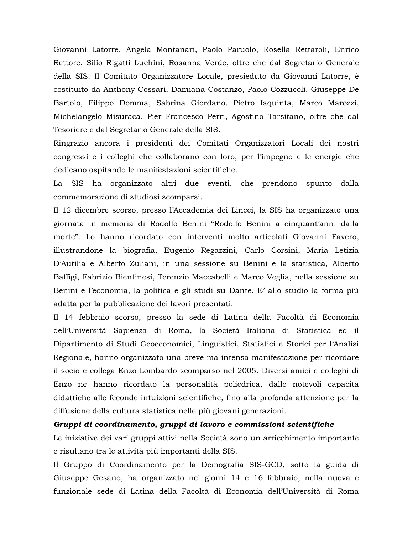Giovanni Latorre, Angela Montanari, Paolo Paruolo, Rosella Rettaroli, Enrico Rettore, Silio Rigatti Luchini, Rosanna Verde, oltre che dal Segretario Generale della SIS. Il Comitato Organizzatore Locale, presieduto da Giovanni Latorre, è costituito da Anthony Cossari, Damiana Costanzo, Paolo Cozzucoli, Giuseppe De Bartolo, Filippo Domma, Sabrina Giordano, Pietro Iaquinta, Marco Marozzi, Michelangelo Misuraca, Pier Francesco Perri, Agostino Tarsitano, oltre che dal Tesoriere e dal Segretario Generale della SIS.

Ringrazio ancora i presidenti dei Comitati Organizzatori Locali dei nostri congressi e i colleghi che collaborano con loro, per l'impegno e le energie che dedicano ospitando le manifestazioni scientifiche.

La SIS ha organizzato altri due eventi, che prendono spunto dalla commemorazione di studiosi scomparsi.

Il 12 dicembre scorso, presso l'Accademia dei Lincei, la SIS ha organizzato una giornata in memoria di Rodolfo Benini "Rodolfo Benini a cinquant'anni dalla morte". Lo hanno ricordato con interventi molto articolati Giovanni Favero, illustrandone la biografia, Eugenio Regazzini, Carlo Corsini, Maria Letizia D'Autilia e Alberto Zuliani, in una sessione su Benini e la statistica, Alberto Baffigi, Fabrizio Bientinesi, Terenzio Maccabelli e Marco Veglia, nella sessione su Benini e l'economia, la politica e gli studi su Dante. E' allo studio la forma più adatta per la pubblicazione dei lavori presentati.

Il 14 febbraio scorso, presso la sede di Latina della Facoltà di Economia dell'Università Sapienza di Roma, la Società Italiana di Statistica ed il Dipartimento di Studi Geoeconomici, Linguistici, Statistici e Storici per l'Analisi Regionale, hanno organizzato una breve ma intensa manifestazione per ricordare il socio e collega Enzo Lombardo scomparso nel 2005. Diversi amici e colleghi di Enzo ne hanno ricordato la personalità poliedrica, dalle notevoli capacità didattiche alle feconde intuizioni scientifiche, fino alla profonda attenzione per la diffusione della cultura statistica nelle più giovani generazioni.

#### Gruppi di coordinamento, gruppi di lavoro e commissioni scientifiche

Le iniziative dei vari gruppi attivi nella Società sono un arricchimento importante e risultano tra le attività più importanti della SIS.

Il Gruppo di Coordinamento per la Demografia SIS-GCD, sotto la guida di Giuseppe Gesano, ha organizzato nei giorni 14 e 16 febbraio, nella nuova e funzionale sede di Latina della Facoltà di Economia dell'Università di Roma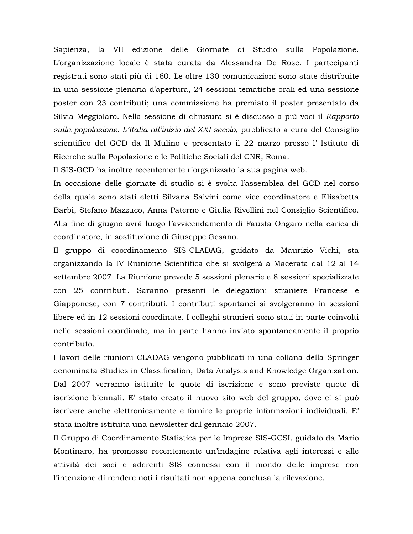Sapienza, la VII edizione delle Giornate di Studio sulla Popolazione. L'organizzazione locale è stata curata da Alessandra De Rose. I partecipanti registrati sono stati più di 160. Le oltre 130 comunicazioni sono state distribuite in una sessione plenaria d'apertura, 24 sessioni tematiche orali ed una sessione poster con 23 contributi; una commissione ha premiato il poster presentato da Silvia Meggiolaro. Nella sessione di chiusura si è discusso a più voci il Rapporto sulla popolazione. L'Italia all'inizio del XXI secolo, pubblicato a cura del Consiglio scientifico del GCD da Il Mulino e presentato il 22 marzo presso l'Istituto di Ricerche sulla Popolazione e le Politiche Sociali del CNR, Roma.

Il SIS-GCD ha inoltre recentemente riorganizzato la sua pagina web.

In occasione delle giornate di studio si è svolta l'assemblea del GCD nel corso della quale sono stati eletti Silvana Salvini come vice coordinatore e Elisabetta Barbi, Stefano Mazzuco, Anna Paterno e Giulia Rivellini nel Consiglio Scientifico. Alla fine di giugno avrà luogo l'avvicendamento di Fausta Ongaro nella carica di coordinatore, in sostituzione di Giuseppe Gesano.

Il gruppo di coordinamento SIS-CLADAG, guidato da Maurizio Vichi, sta organizzando la IV Riunione Scientifica che si svolgerà a Macerata dal 12 al 14 settembre 2007. La Riunione prevede 5 sessioni plenarie e 8 sessioni specializzate con 25 contributi. Saranno presenti le delegazioni straniere Francese e Giapponese, con 7 contributi. I contributi spontanei si svolgeranno in sessioni libere ed in 12 sessioni coordinate. I colleghi stranieri sono stati in parte coinvolti nelle sessioni coordinate, ma in parte hanno inviato spontaneamente il proprio contributo.

I lavori delle riunioni CLADAG vengono pubblicati in una collana della Springer denominata Studies in Classification, Data Analysis and Knowledge Organization. Dal 2007 verranno istituite le quote di iscrizione e sono previste quote di iscrizione biennali. E' stato creato il nuovo sito web del gruppo, dove ci si può iscrivere anche elettronicamente e fornire le proprie informazioni individuali. E' stata inoltre istituita una newsletter dal gennaio 2007.

Il Gruppo di Coordinamento Statistica per le Imprese SIS-GCSI, guidato da Mario Montinaro, ha promosso recentemente un'indagine relativa agli interessi e alle attività dei soci e aderenti SIS connessi con il mondo delle imprese con l'intenzione di rendere noti i risultati non appena conclusa la rilevazione.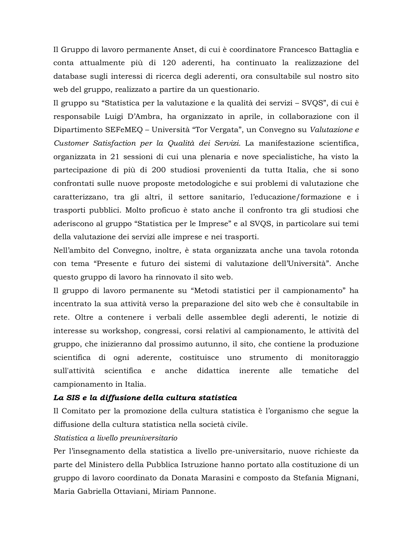Il Gruppo di lavoro permanente Anset, di cui è coordinatore Francesco Battaglia e conta attualmente più di 120 aderenti, ha continuato la realizzazione del database sugli interessi di ricerca degli aderenti, ora consultabile sul nostro sito web del gruppo, realizzato a partire da un questionario.

Il gruppo su "Statistica per la valutazione e la qualità dei servizi – SVQS", di cui è responsabile Luigi D'Ambra, ha organizzato in aprile, in collaborazione con il Dipartimento SEFeMEQ – Università "Tor Vergata", un Convegno su Valutazione e Customer Satisfaction per la Qualità dei Servizi. La manifestazione scientifica, organizzata in 21 sessioni di cui una plenaria e nove specialistiche, ha visto la partecipazione di più di 200 studiosi provenienti da tutta Italia, che si sono confrontati sulle nuove proposte metodologiche e sui problemi di valutazione che caratterizzano, tra gli altri, il settore sanitario, l'educazione/formazione e i trasporti pubblici. Molto proficuo è stato anche il confronto tra gli studiosi che aderiscono al gruppo "Statistica per le Imprese" e al SVQS, in particolare sui temi della valutazione dei servizi alle imprese e nei trasporti.

Nell'ambito del Convegno, inoltre, è stata organizzata anche una tavola rotonda con tema "Presente e futuro dei sistemi di valutazione dell'Università". Anche questo gruppo di lavoro ha rinnovato il sito web.

Il gruppo di lavoro permanente su "Metodi statistici per il campionamento" ha incentrato la sua attività verso la preparazione del sito web che è consultabile in rete. Oltre a contenere i verbali delle assemblee degli aderenti, le notizie di interesse su workshop, congressi, corsi relativi al campionamento, le attività del gruppo, che inizieranno dal prossimo autunno, il sito, che contiene la produzione scientifica di ogni aderente, costituisce uno strumento di monitoraggio sull'attività scientifica e anche didattica inerente alle tematiche del campionamento in Italia.

## La SIS e la diffusione della cultura statistica

Il Comitato per la promozione della cultura statistica è l'organismo che segue la diffusione della cultura statistica nella società civile.

## Statistica a livello preuniversitario

Per l'insegnamento della statistica a livello pre-universitario, nuove richieste da parte del Ministero della Pubblica Istruzione hanno portato alla costituzione di un gruppo di lavoro coordinato da Donata Marasini e composto da Stefania Mignani, Maria Gabriella Ottaviani, Miriam Pannone.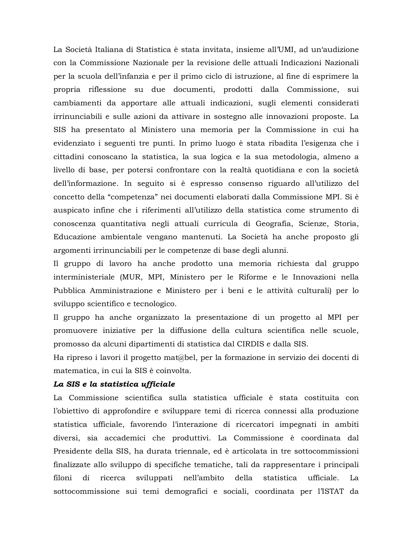La Società Italiana di Statistica è stata invitata, insieme all'UMI, ad un'audizione con la Commissione Nazionale per la revisione delle attuali Indicazioni Nazionali per la scuola dell'infanzia e per il primo ciclo di istruzione, al fine di esprimere la propria riflessione su due documenti, prodotti dalla Commissione, sui cambiamenti da apportare alle attuali indicazioni, sugli elementi considerati irrinunciabili e sulle azioni da attivare in sostegno alle innovazioni proposte. La SIS ha presentato al Ministero una memoria per la Commissione in cui ha evidenziato i seguenti tre punti. In primo luogo è stata ribadita l'esigenza che i cittadini conoscano la statistica, la sua logica e la sua metodologia, almeno a livello di base, per potersi confrontare con la realtà quotidiana e con la società dell'informazione. In seguito si è espresso consenso riguardo all'utilizzo del concetto della "competenza" nei documenti elaborati dalla Commissione MPI. Si è auspicato infine che i riferimenti all'utilizzo della statistica come strumento di conoscenza quantitativa negli attuali curricula di Geografia, Scienze, Storia, Educazione ambientale vengano mantenuti. La Società ha anche proposto gli argomenti irrinunciabili per le competenze di base degli alunni.

Il gruppo di lavoro ha anche prodotto una memoria richiesta dal gruppo interministeriale (MUR, MPI, Ministero per le Riforme e le Innovazioni nella Pubblica Amministrazione e Ministero per i beni e le attività culturali) per lo sviluppo scientifico e tecnologico.

Il gruppo ha anche organizzato la presentazione di un progetto al MPI per promuovere iniziative per la diffusione della cultura scientifica nelle scuole, promosso da alcuni dipartimenti di statistica dal CIRDIS e dalla SIS.

Ha ripreso i lavori il progetto mat@bel, per la formazione in servizio dei docenti di matematica, in cui la SIS è coinvolta.

#### La SIS e la statistica ufficiale

La Commissione scientifica sulla statistica ufficiale è stata costituita con l'obiettivo di approfondire e sviluppare temi di ricerca connessi alla produzione statistica ufficiale, favorendo l'interazione di ricercatori impegnati in ambiti diversi, sia accademici che produttivi. La Commissione è coordinata dal Presidente della SIS, ha durata triennale, ed è articolata in tre sottocommissioni finalizzate allo sviluppo di specifiche tematiche, tali da rappresentare i principali filoni  $di$ ricerca sviluppati nell'ambito della statistica ufficiale. La sottocommissione sui temi demografici e sociali, coordinata per l'ISTAT da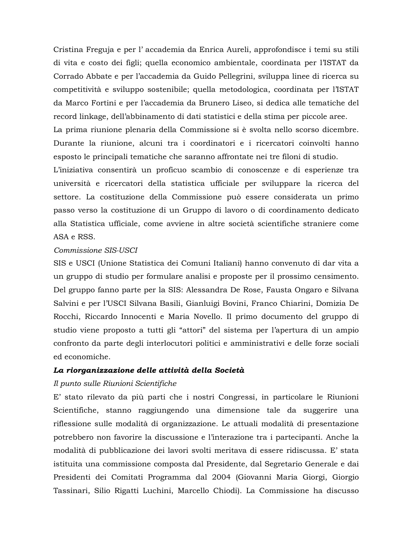Cristina Freguja e per l'accademia da Enrica Aureli, approfondisce i temi su stili di vita e costo dei figli; quella economico ambientale, coordinata per l'ISTAT da Corrado Abbate e per l'accademia da Guido Pellegrini, sviluppa linee di ricerca su competitività e sviluppo sostenibile; quella metodologica, coordinata per l'ISTAT da Marco Fortini e per l'accademia da Brunero Liseo, si dedica alle tematiche del record linkage, dell'abbinamento di dati statistici e della stima per piccole aree.

La prima riunione plenaria della Commissione si è svolta nello scorso dicembre. Durante la riunione, alcuni tra i coordinatori e i ricercatori coinvolti hanno esposto le principali tematiche che saranno affrontate nei tre filoni di studio.

L'iniziativa consentirà un proficuo scambio di conoscenze e di esperienze tra università e ricercatori della statistica ufficiale per sviluppare la ricerca del settore. La costituzione della Commissione può essere considerata un primo passo verso la costituzione di un Gruppo di lavoro o di coordinamento dedicato alla Statistica ufficiale, come avviene in altre società scientifiche straniere come ASA e RSS.

#### Commissione SIS-USCI

SIS e USCI (Unione Statistica dei Comuni Italiani) hanno convenuto di dar vita a un gruppo di studio per formulare analisi e proposte per il prossimo censimento. Del gruppo fanno parte per la SIS: Alessandra De Rose, Fausta Ongaro e Silvana Salvini e per l'USCI Silvana Basili, Gianluigi Bovini, Franco Chiarini, Domizia De Rocchi, Riccardo Innocenti e Maria Novello. Il primo documento del gruppo di studio viene proposto a tutti gli "attori" del sistema per l'apertura di un ampio confronto da parte degli interlocutori politici e amministrativi e delle forze sociali ed economiche.

#### La riorganizzazione delle attività della Società

#### Il punto sulle Riunioni Scientifiche

E' stato rilevato da più parti che i nostri Congressi, in particolare le Riunioni Scientifiche, stanno raggiungendo una dimensione tale da suggerire una riflessione sulle modalità di organizzazione. Le attuali modalità di presentazione potrebbero non favorire la discussione e l'interazione tra i partecipanti. Anche la modalità di pubblicazione dei lavori svolti meritava di essere ridiscussa. E' stata istituita una commissione composta dal Presidente, dal Segretario Generale e dai Presidenti dei Comitati Programma dal 2004 (Giovanni Maria Giorgi, Giorgio Tassinari, Silio Rigatti Luchini, Marcello Chiodi). La Commissione ha discusso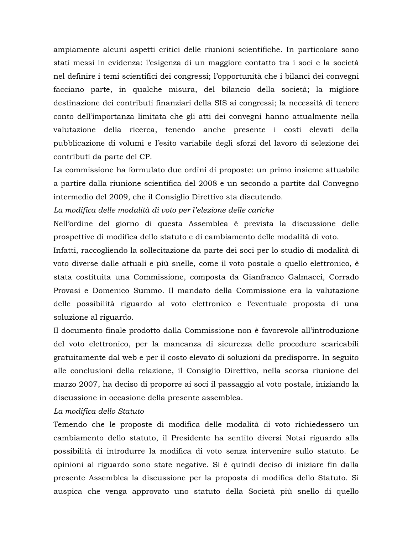ampiamente alcuni aspetti critici delle riunioni scientifiche. In particolare sono stati messi in evidenza: l'esigenza di un maggiore contatto tra i soci e la società nel definire i temi scientifici dei congressi; l'opportunità che i bilanci dei convegni facciano parte, in qualche misura, del bilancio della società; la migliore destinazione dei contributi finanziari della SIS ai congressi; la necessità di tenere conto dell'importanza limitata che gli atti dei convegni hanno attualmente nella valutazione della ricerca, tenendo anche presente i costi elevati della pubblicazione di volumi e l'esito variabile degli sforzi del lavoro di selezione dei contributi da parte del CP.

La commissione ha formulato due ordini di proposte: un primo insieme attuabile a partire dalla riunione scientifica del 2008 e un secondo a partite dal Convegno intermedio del 2009, che il Consiglio Direttivo sta discutendo.

La modifica delle modalità di voto per l'elezione delle cariche

Nell'ordine del giorno di questa Assemblea è prevista la discussione delle prospettive di modifica dello statuto e di cambiamento delle modalità di voto.

Infatti, raccogliendo la sollecitazione da parte dei soci per lo studio di modalità di voto diverse dalle attuali e più snelle, come il voto postale o quello elettronico, è stata costituita una Commissione, composta da Gianfranco Galmacci, Corrado Provasi e Domenico Summo. Il mandato della Commissione era la valutazione delle possibilità riguardo al voto elettronico e l'eventuale proposta di una soluzione al riguardo.

Il documento finale prodotto dalla Commissione non è favorevole all'introduzione del voto elettronico, per la mancanza di sicurezza delle procedure scaricabili gratuitamente dal web e per il costo elevato di soluzioni da predisporre. In seguito alle conclusioni della relazione, il Consiglio Direttivo, nella scorsa riunione del marzo 2007, ha deciso di proporre ai soci il passaggio al voto postale, iniziando la discussione in occasione della presente assemblea.

#### La modifica dello Statuto

Temendo che le proposte di modifica delle modalità di voto richiedessero un cambiamento dello statuto, il Presidente ha sentito diversi Notai riguardo alla possibilità di introdurre la modifica di voto senza intervenire sullo statuto. Le opinioni al riguardo sono state negative. Si è quindi deciso di iniziare fin dalla presente Assemblea la discussione per la proposta di modifica dello Statuto. Si auspica che venga approvato uno statuto della Società più snello di quello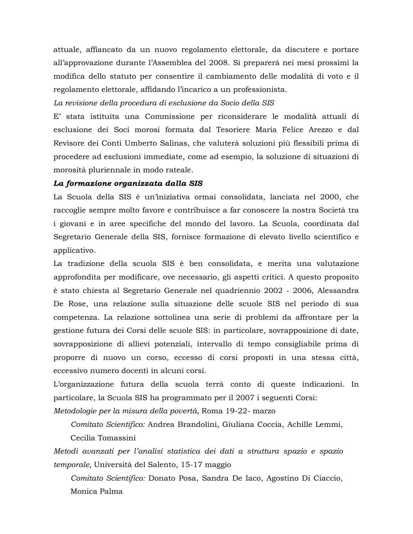attuale, affiancato da un nuovo regolamento elettorale, da discutere e portare all'approvazione durante l'Assemblea del 2008. Si preparerà nei mesi prossimi la modifica dello statuto per consentire il cambiamento delle modalità di voto e il regolamento elettorale, affidando l'incarico a un professionista.

La revisione della procedura di esclusione da Socio della SIS

E' stata istituita una Commissione per riconsiderare le modalità attuali di esclusione dei Soci morosi formata dal Tesoriere Maria Felice Arezzo e dal Revisore dei Conti Umberto Salinas, che valuterà soluzioni più flessibili prima di procedere ad esclusioni immediate, come ad esempio, la soluzione di situazioni di morosità pluriennale in modo rateale.

#### La formazione organizzata dalla SIS

La Scuola della SIS è un'iniziativa ormai consolidata, lanciata nel 2000, che raccoglie sempre molto favore e contribuisce a far conoscere la nostra Società tra i giovani e in aree specifiche del mondo del lavoro. La Scuola, coordinata dal Segretario Generale della SIS, fornisce formazione di elevato livello scientifico e applicativo.

La tradizione della scuola SIS è ben consolidata, e merita una valutazione approfondita per modificare, ove necessario, gli aspetti critici. A questo proposito è stato chiesta al Segretario Generale nel quadriennio 2002 - 2006, Alessandra De Rose, una relazione sulla situazione delle scuole SIS nel periodo di sua competenza. La relazione sottolinea una serie di problemi da affrontare per la gestione futura dei Corsi delle scuole SIS: in particolare, sovrapposizione di date, sovrapposizione di allievi potenziali, intervallo di tempo consigliabile prima di proporre di nuovo un corso, eccesso di corsi proposti in una stessa città, eccessivo numero docenti in alcuni corsi.

L'organizzazione futura della scuola terrà conto di queste indicazioni. In particolare, la Scuola SIS ha programmato per il 2007 i seguenti Corsi:

Metodologie per la misura della povertà, Roma 19-22- marzo

Comitato Scientifico: Andrea Brandolini, Giuliana Coccia, Achille Lemmi, Cecilia Tomassini

Metodi avanzati per l'analisi statistica dei dati a struttura spazio e spazio *temporale*, Università del Salento, 15-17 maggio

Comitato Scientifico: Donato Posa, Sandra De Iaco, Agostino Di Ciaccio, Monica Palma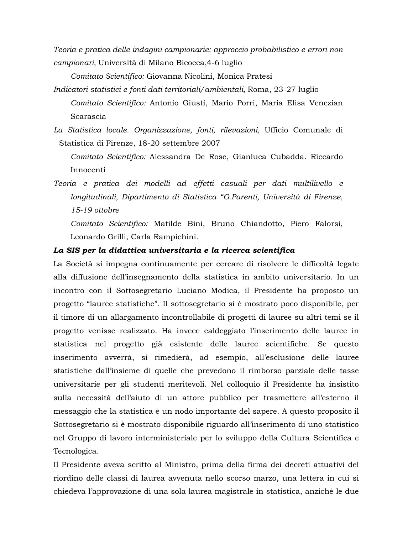Teoria e pratica delle indagini campionarie: approccio probabilistico e errori non campionari, Università di Milano Bicocca, 4-6 luglio

Comitato Scientifico: Giovanna Nicolini, Monica Pratesi

- Indicatori statistici e fonti dati territoriali/ambientali, Roma, 23-27 luglio Comitato Scientifico: Antonio Giusti, Mario Porri, Maria Elisa Venezian Scarascia
- La Statistica locale. Organizzazione, fonti, rilevazioni, Ufficio Comunale di Statistica di Firenze, 18-20 settembre 2007

Comitato Scientifico: Alessandra De Rose, Gianluca Cubadda. Riccardo Innocenti

Teoria e pratica dei modelli ad effetti casuali per dati multilivello e longitudinali, Dipartimento di Statistica "G.Parenti, Università di Firenze, 15-19 ottobre

Comitato Scientifico: Matilde Bini, Bruno Chiandotto, Piero Falorsi, Leonardo Grilli, Carla Rampichini.

#### La SIS per la didattica universitaria e la ricerca scientifica

La Società si impegna continuamente per cercare di risolvere le difficoltà legate alla diffusione dell'insegnamento della statistica in ambito universitario. In un incontro con il Sottosegretario Luciano Modica, il Presidente ha proposto un progetto "lauree statistiche". Il sottosegretario si è mostrato poco disponibile, per il timore di un allargamento incontrollabile di progetti di lauree su altri temi se il progetto venisse realizzato. Ha invece caldeggiato l'inserimento delle lauree in statistica nel progetto già esistente delle lauree scientifiche. Se questo inserimento avverrà, si rimedierà, ad esempio, all'esclusione delle lauree statistiche dall'insieme di quelle che prevedono il rimborso parziale delle tasse universitarie per gli studenti meritevoli. Nel colloquio il Presidente ha insistito sulla necessità dell'aiuto di un attore pubblico per trasmettere all'esterno il messaggio che la statistica è un nodo importante del sapere. A questo proposito il Sottosegretario si è mostrato disponibile riguardo all'inserimento di uno statistico nel Gruppo di lavoro interministeriale per lo sviluppo della Cultura Scientifica e Tecnologica.

Il Presidente aveva scritto al Ministro, prima della firma dei decreti attuativi del riordino delle classi di laurea avvenuta nello scorso marzo, una lettera in cui si chiedeva l'approvazione di una sola laurea magistrale in statistica, anziché le due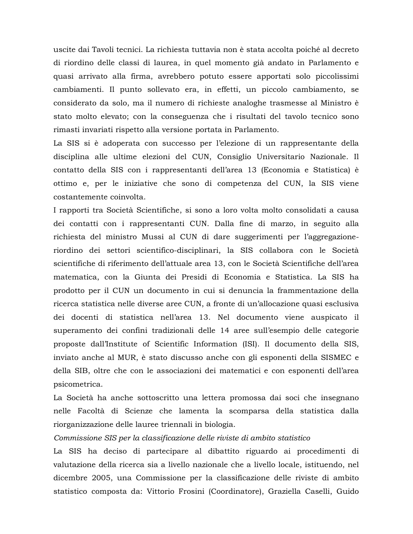uscite dai Tavoli tecnici. La richiesta tuttavia non è stata accolta poiché al decreto di riordino delle classi di laurea, in quel momento già andato in Parlamento e quasi arrivato alla firma, avrebbero potuto essere apportati solo piccolissimi cambiamenti. Il punto sollevato era, in effetti, un piccolo cambiamento, se considerato da solo, ma il numero di richieste analoghe trasmesse al Ministro è stato molto elevato; con la conseguenza che i risultati del tavolo tecnico sono rimasti invariati rispetto alla versione portata in Parlamento.

La SIS si è adoperata con successo per l'elezione di un rappresentante della disciplina alle ultime elezioni del CUN, Consiglio Universitario Nazionale. Il contatto della SIS con i rappresentanti dell'area 13 (Economia e Statistica) è ottimo e, per le iniziative che sono di competenza del CUN, la SIS viene costantemente coinvolta.

I rapporti tra Società Scientifiche, si sono a loro volta molto consolidati a causa dei contatti con i rappresentanti CUN. Dalla fine di marzo, in seguito alla richiesta del ministro Mussi al CUN di dare suggerimenti per l'aggregazioneriordino dei settori scientifico-disciplinari, la SIS collabora con le Società scientifiche di riferimento dell'attuale area 13, con le Società Scientifiche dell'area matematica, con la Giunta dei Presidi di Economia e Statistica. La SIS ha prodotto per il CUN un documento in cui si denuncia la frammentazione della ricerca statistica nelle diverse aree CUN, a fronte di un'allocazione quasi esclusiva dei docenti di statistica nell'area 13. Nel documento viene auspicato il superamento dei confini tradizionali delle 14 aree sull'esempio delle categorie proposte dall'Institute of Scientific Information (ISI). Il documento della SIS, inviato anche al MUR, è stato discusso anche con gli esponenti della SISMEC e della SIB, oltre che con le associazioni dei matematici e con esponenti dell'area psicometrica.

La Società ha anche sottoscritto una lettera promossa dai soci che insegnano nelle Facoltà di Scienze che lamenta la scomparsa della statistica dalla riorganizzazione delle lauree triennali in biologia.

#### Commissione SIS per la classificazione delle riviste di ambito statistico

La SIS ha deciso di partecipare al dibattito riguardo ai procedimenti di valutazione della ricerca sia a livello nazionale che a livello locale, istituendo, nel dicembre 2005, una Commissione per la classificazione delle riviste di ambito statistico composta da: Vittorio Frosini (Coordinatore), Graziella Caselli, Guido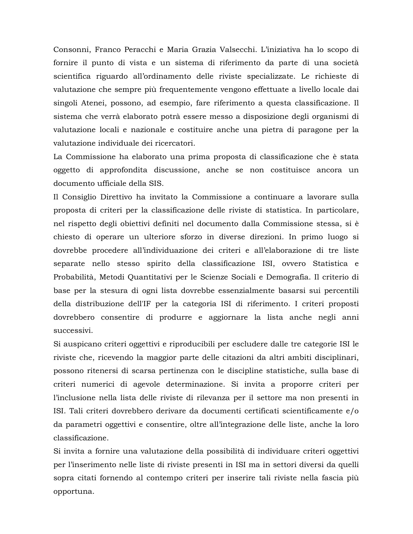Consonni, Franco Peracchi e Maria Grazia Valsecchi. L'iniziativa ha lo scopo di fornire il punto di vista e un sistema di riferimento da parte di una società scientifica riguardo all'ordinamento delle riviste specializzate. Le richieste di valutazione che sempre più frequentemente vengono effettuate a livello locale dai singoli Atenei, possono, ad esempio, fare riferimento a questa classificazione. Il sistema che verrà elaborato potrà essere messo a disposizione degli organismi di valutazione locali e nazionale e costituire anche una pietra di paragone per la valutazione individuale dei ricercatori.

La Commissione ha elaborato una prima proposta di classificazione che è stata oggetto di approfondita discussione, anche se non costituisce ancora un documento ufficiale della SIS.

Il Consiglio Direttivo ha invitato la Commissione a continuare a lavorare sulla proposta di criteri per la classificazione delle riviste di statistica. In particolare, nel rispetto degli obiettivi definiti nel documento dalla Commissione stessa, si è chiesto di operare un ulteriore sforzo in diverse direzioni. In primo luogo si dovrebbe procedere all'individuazione dei criteri e all'elaborazione di tre liste separate nello stesso spirito della classificazione ISI, ovvero Statistica e Probabilità, Metodi Quantitativi per le Scienze Sociali e Demografia. Il criterio di base per la stesura di ogni lista dovrebbe essenzialmente basarsi sui percentili della distribuzione dell'IF per la categoria ISI di riferimento. I criteri proposti dovrebbero consentire di produrre e aggiornare la lista anche negli anni successivi.

Si auspicano criteri oggettivi e riproducibili per escludere dalle tre categorie ISI le riviste che, ricevendo la maggior parte delle citazioni da altri ambiti disciplinari, possono ritenersi di scarsa pertinenza con le discipline statistiche, sulla base di criteri numerici di agevole determinazione. Si invita a proporre criteri per l'inclusione nella lista delle riviste di rilevanza per il settore ma non presenti in ISI. Tali criteri dovrebbero derivare da documenti certificati scientificamente e/o da parametri oggettivi e consentire, oltre all'integrazione delle liste, anche la loro classificazione.

Si invita a fornire una valutazione della possibilità di individuare criteri oggettivi per l'inserimento nelle liste di riviste presenti in ISI ma in settori diversi da quelli sopra citati fornendo al contempo criteri per inserire tali riviste nella fascia più opportuna.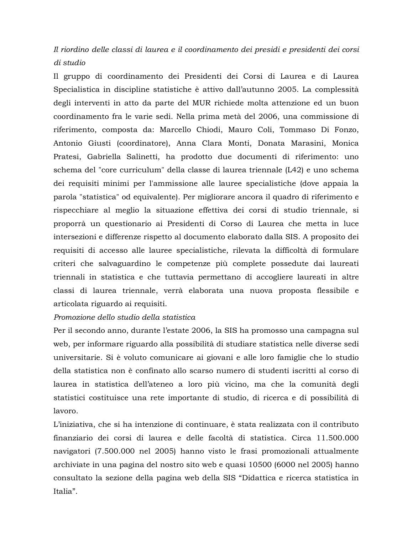# Il riordino delle classi di laurea e il coordinamento dei presidi e presidenti dei corsi di studio

Il gruppo di coordinamento dei Presidenti dei Corsi di Laurea e di Laurea Specialistica in discipline statistiche è attivo dall'autunno 2005. La complessità degli interventi in atto da parte del MUR richiede molta attenzione ed un buon coordinamento fra le varie sedi. Nella prima metà del 2006, una commissione di riferimento, composta da: Marcello Chiodi, Mauro Coli, Tommaso Di Fonzo, Antonio Giusti (coordinatore), Anna Clara Monti, Donata Marasini, Monica Pratesi, Gabriella Salinetti, ha prodotto due documenti di riferimento: uno schema del "core curriculum" della classe di laurea triennale (L42) e uno schema dei requisiti minimi per l'ammissione alle lauree specialistiche (dove appaia la parola "statistica" od equivalente). Per migliorare ancora il quadro di riferimento e rispecchiare al meglio la situazione effettiva dei corsi di studio triennale, si proporrà un questionario ai Presidenti di Corso di Laurea che metta in luce intersezioni e differenze rispetto al documento elaborato dalla SIS. A proposito dei requisiti di accesso alle lauree specialistiche, rilevata la difficoltà di formulare criteri che salvaguardino le competenze più complete possedute dai laureati triennali in statistica e che tuttavia permettano di accogliere laureati in altre classi di laurea triennale, verrà elaborata una nuova proposta flessibile e articolata riguardo ai requisiti.

# Promozione dello studio della statistica

Per il secondo anno, durante l'estate 2006, la SIS ha promosso una campagna sul web, per informare riguardo alla possibilità di studiare statistica nelle diverse sedi universitarie. Si è voluto comunicare ai giovani e alle loro famiglie che lo studio della statistica non è confinato allo scarso numero di studenti iscritti al corso di laurea in statistica dell'ateneo a loro più vicino, ma che la comunità degli statistici costituisce una rete importante di studio, di ricerca e di possibilità di lavoro.

L'iniziativa, che si ha intenzione di continuare, è stata realizzata con il contributo finanziario dei corsi di laurea e delle facoltà di statistica. Circa 11.500.000 navigatori (7.500.000 nel 2005) hanno visto le frasi promozionali attualmente archiviate in una pagina del nostro sito web e quasi 10500 (6000 nel 2005) hanno consultato la sezione della pagina web della SIS "Didattica e ricerca statistica in Italia".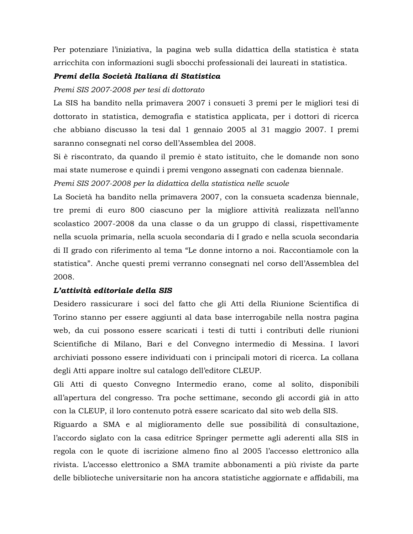Per potenziare l'iniziativa, la pagina web sulla didattica della statistica è stata arricchita con informazioni sugli sbocchi professionali dei laureati in statistica.

## Premi della Società Italiana di Statistica

## Premi SIS 2007-2008 per tesi di dottorato

La SIS ha bandito nella primavera 2007 i consueti 3 premi per le migliori tesi di dottorato in statistica, demografia e statistica applicata, per i dottori di ricerca che abbiano discusso la tesi dal 1 gennaio 2005 al 31 maggio 2007. I premi saranno consegnati nel corso dell'Assemblea del 2008.

Si è riscontrato, da quando il premio è stato istituito, che le domande non sono mai state numerose e quindi i premi vengono assegnati con cadenza biennale.

Premi SIS 2007-2008 per la didattica della statistica nelle scuole

La Società ha bandito nella primavera 2007, con la consueta scadenza biennale, tre premi di euro 800 ciascuno per la migliore attività realizzata nell'anno scolastico 2007-2008 da una classe o da un gruppo di classi, rispettivamente nella scuola primaria, nella scuola secondaria di I grado e nella scuola secondaria di II grado con riferimento al tema "Le donne intorno a noi. Raccontiamole con la statistica". Anche questi premi verranno consegnati nel corso dell'Assemblea del 2008.

# L'attività editoriale della SIS

Desidero rassicurare i soci del fatto che gli Atti della Riunione Scientifica di Torino stanno per essere aggiunti al data base interrogabile nella nostra pagina web, da cui possono essere scaricati i testi di tutti i contributi delle riunioni Scientifiche di Milano, Bari e del Convegno intermedio di Messina. I lavori archiviati possono essere individuati con i principali motori di ricerca. La collana degli Atti appare inoltre sul catalogo dell'editore CLEUP.

Gli Atti di questo Convegno Intermedio erano, come al solito, disponibili all'apertura del congresso. Tra poche settimane, secondo gli accordi già in atto con la CLEUP, il loro contenuto potrà essere scaricato dal sito web della SIS.

Riguardo a SMA e al miglioramento delle sue possibilità di consultazione, l'accordo siglato con la casa editrice Springer permette agli aderenti alla SIS in regola con le quote di iscrizione almeno fino al 2005 l'accesso elettronico alla rivista. L'accesso elettronico a SMA tramite abbonamenti a più riviste da parte delle biblioteche universitarie non ha ancora statistiche aggiornate e affidabili, ma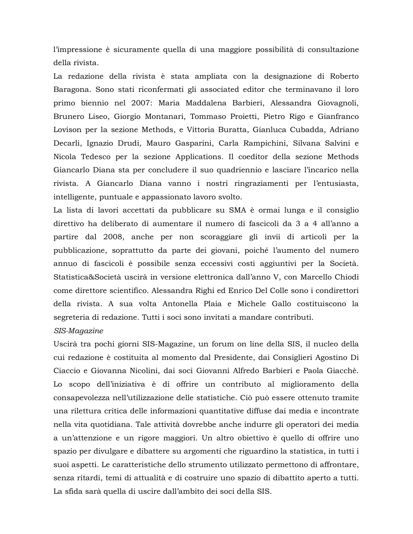l'impressione è sicuramente quella di una maggiore possibilità di consultazione della rivista.

La redazione della rivista è stata ampliata con la designazione di Roberto Baragona. Sono stati riconfermati gli associated editor che terminavano il loro primo biennio nel 2007: Maria Maddalena Barbieri, Alessandra Giovagnoli, Brunero Liseo, Giorgio Montanari, Tommaso Proietti, Pietro Rigo e Gianfranco Lovison per la sezione Methods, e Vittoria Buratta, Gianluca Cubadda, Adriano Decarli, Ignazio Drudi, Mauro Gasparini, Carla Rampichini, Silvana Salvini e Nicola Tedesco per la sezione Applications. Il coeditor della sezione Methods Giancarlo Diana sta per concludere il suo quadriennio e lasciare l'incarico nella rivista. A Giancarlo Diana vanno i nostri ringraziamenti per l'entusiasta, intelligente, puntuale e appassionato lavoro svolto.

La lista di lavori accettati da pubblicare su SMA è ormai lunga e il consiglio direttivo ha deliberato di aumentare il numero di fascicoli da 3 a 4 all'anno a partire dal 2008, anche per non scoraggiare gli invii di articoli per la pubblicazione, soprattutto da parte dei giovani, poiché l'aumento del numero annuo di fascicoli è possibile senza eccessivi costi aggiuntivi per la Società. Statistica&Società uscirà in versione elettronica dall'anno V, con Marcello Chiodi come direttore scientifico. Alessandra Righi ed Enrico Del Colle sono i condirettori della rivista. A sua volta Antonella Plaia e Michele Gallo costituiscono la segreteria di redazione. Tutti i soci sono invitati a mandare contributi.

## SIS-Magazine

Uscirà tra pochi giorni SIS-Magazine, un forum on line della SIS, il nucleo della cui redazione è costituita al momento dal Presidente, dai Consiglieri Agostino Di Ciaccio e Giovanna Nicolini, dai soci Giovanni Alfredo Barbieri e Paola Giacchè. Lo scopo dell'iniziativa è di offrire un contributo al miglioramento della consapevolezza nell'utilizzazione delle statistiche. Ciò può essere ottenuto tramite una rilettura critica delle informazioni quantitative diffuse dai media e incontrate nella vita quotidiana. Tale attività dovrebbe anche indurre gli operatori dei media a un'attenzione e un rigore maggiori. Un altro obiettivo è quello di offrire uno spazio per divulgare e dibattere su argomenti che riguardino la statistica, in tutti i suoi aspetti. Le caratteristiche dello strumento utilizzato permettono di affrontare, senza ritardi, temi di attualità e di costruire uno spazio di dibattito aperto a tutti. La sfida sarà quella di uscire dall'ambito dei soci della SIS.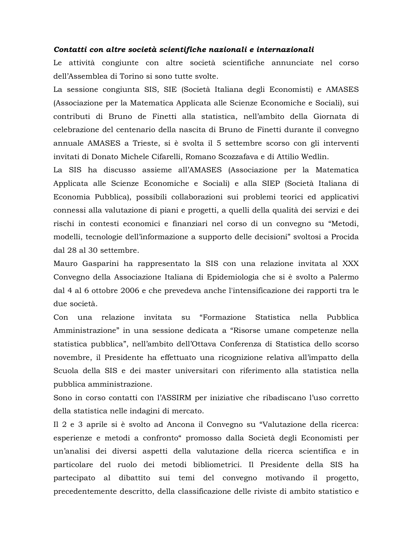#### Contatti con altre società scientifiche nazionali e internazionali

Le attività congiunte con altre società scientifiche annunciate nel corso dell'Assemblea di Torino si sono tutte svolte.

La sessione congiunta SIS, SIE (Società Italiana degli Economisti) e AMASES (Associazione per la Matematica Applicata alle Scienze Economiche e Sociali), sui contributi di Bruno de Finetti alla statistica, nell'ambito della Giornata di celebrazione del centenario della nascita di Bruno de Finetti durante il convegno annuale AMASES a Trieste, si è svolta il 5 settembre scorso con gli interventi invitati di Donato Michele Cifarelli, Romano Scozzafava e di Attilio Wedlin.

La SIS ha discusso assieme all'AMASES (Associazione per la Matematica Applicata alle Scienze Economiche e Sociali) e alla SIEP (Società Italiana di Economia Pubblica), possibili collaborazioni sui problemi teorici ed applicativi connessi alla valutazione di piani e progetti, a quelli della qualità dei servizi e dei rischi in contesti economici e finanziari nel corso di un convegno su "Metodi, modelli, tecnologie dell'informazione a supporto delle decisioni" svoltosi a Procida dal 28 al 30 settembre.

Mauro Gasparini ha rappresentato la SIS con una relazione invitata al XXX Convegno della Associazione Italiana di Epidemiologia che si è svolto a Palermo dal 4 al 6 ottobre 2006 e che prevedeva anche l'intensificazione dei rapporti tra le due società.

Con una relazione invitata su "Formazione Statistica nella Pubblica Amministrazione" in una sessione dedicata a "Risorse umane competenze nella statistica pubblica", nell'ambito dell'Ottava Conferenza di Statistica dello scorso novembre, il Presidente ha effettuato una ricognizione relativa all'impatto della Scuola della SIS e dei master universitari con riferimento alla statistica nella pubblica amministrazione.

Sono in corso contatti con l'ASSIRM per iniziative che ribadiscano l'uso corretto della statistica nelle indagini di mercato.

Il 2 e 3 aprile si è svolto ad Ancona il Convegno su "Valutazione della ricerca: esperienze e metodi a confronto "promosso dalla Società degli Economisti per un'analisi dei diversi aspetti della valutazione della ricerca scientifica e in particolare del ruolo dei metodi bibliometrici. Il Presidente della SIS ha partecipato al dibattito sui temi del convegno motivando il progetto, precedentemente descritto, della classificazione delle riviste di ambito statistico e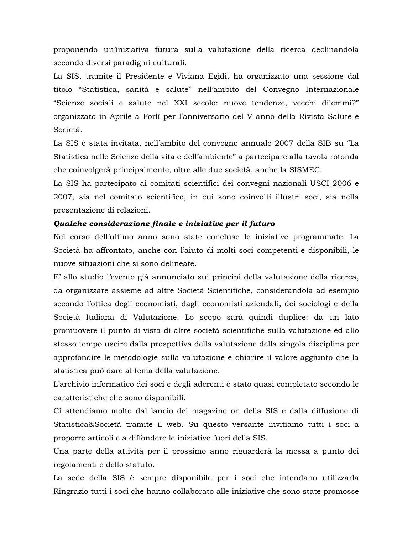proponendo un'iniziativa futura sulla valutazione della ricerca declinandola secondo diversi paradigmi culturali.

La SIS, tramite il Presidente e Viviana Egidi, ha organizzato una sessione dal titolo "Statistica, sanità e salute" nell'ambito del Convegno Internazionale "Scienze sociali e salute nel XXI secolo: nuove tendenze, vecchi dilemmi?" organizzato in Aprile a Forlì per l'anniversario del V anno della Rivista Salute e Società.

La SIS è stata invitata, nell'ambito del convegno annuale 2007 della SIB su "La Statistica nelle Scienze della vita e dell'ambiente" a partecipare alla tavola rotonda che coinvolgerà principalmente, oltre alle due società, anche la SISMEC.

La SIS ha partecipato ai comitati scientifici dei convegni nazionali USCI 2006 e 2007, sia nel comitato scientifico, in cui sono coinvolti illustri soci, sia nella presentazione di relazioni.

#### Qualche considerazione finale e iniziative per il futuro

Nel corso dell'ultimo anno sono state concluse le iniziative programmate. La Società ha affrontato, anche con l'aiuto di molti soci competenti e disponibili, le nuove situazioni che si sono delineate.

E' allo studio l'evento già annunciato sui principi della valutazione della ricerca, da organizzare assieme ad altre Società Scientifiche, considerandola ad esempio secondo l'ottica degli economisti, dagli economisti aziendali, dei sociologi e della Società Italiana di Valutazione. Lo scopo sarà quindi duplice: da un lato promuovere il punto di vista di altre società scientifiche sulla valutazione ed allo stesso tempo uscire dalla prospettiva della valutazione della singola disciplina per approfondire le metodologie sulla valutazione e chiarire il valore aggiunto che la statistica può dare al tema della valutazione.

L'archivio informatico dei soci e degli aderenti è stato quasi completato secondo le caratteristiche che sono disponibili.

Ci attendiamo molto dal lancio del magazine on della SIS e dalla diffusione di Statistica&Società tramite il web. Su questo versante invitiamo tutti i soci a proporre articoli e a diffondere le iniziative fuori della SIS.

Una parte della attività per il prossimo anno riguarderà la messa a punto dei regolamenti e dello statuto.

La sede della SIS è sempre disponibile per i soci che intendano utilizzarla Ringrazio tutti i soci che hanno collaborato alle iniziative che sono state promosse